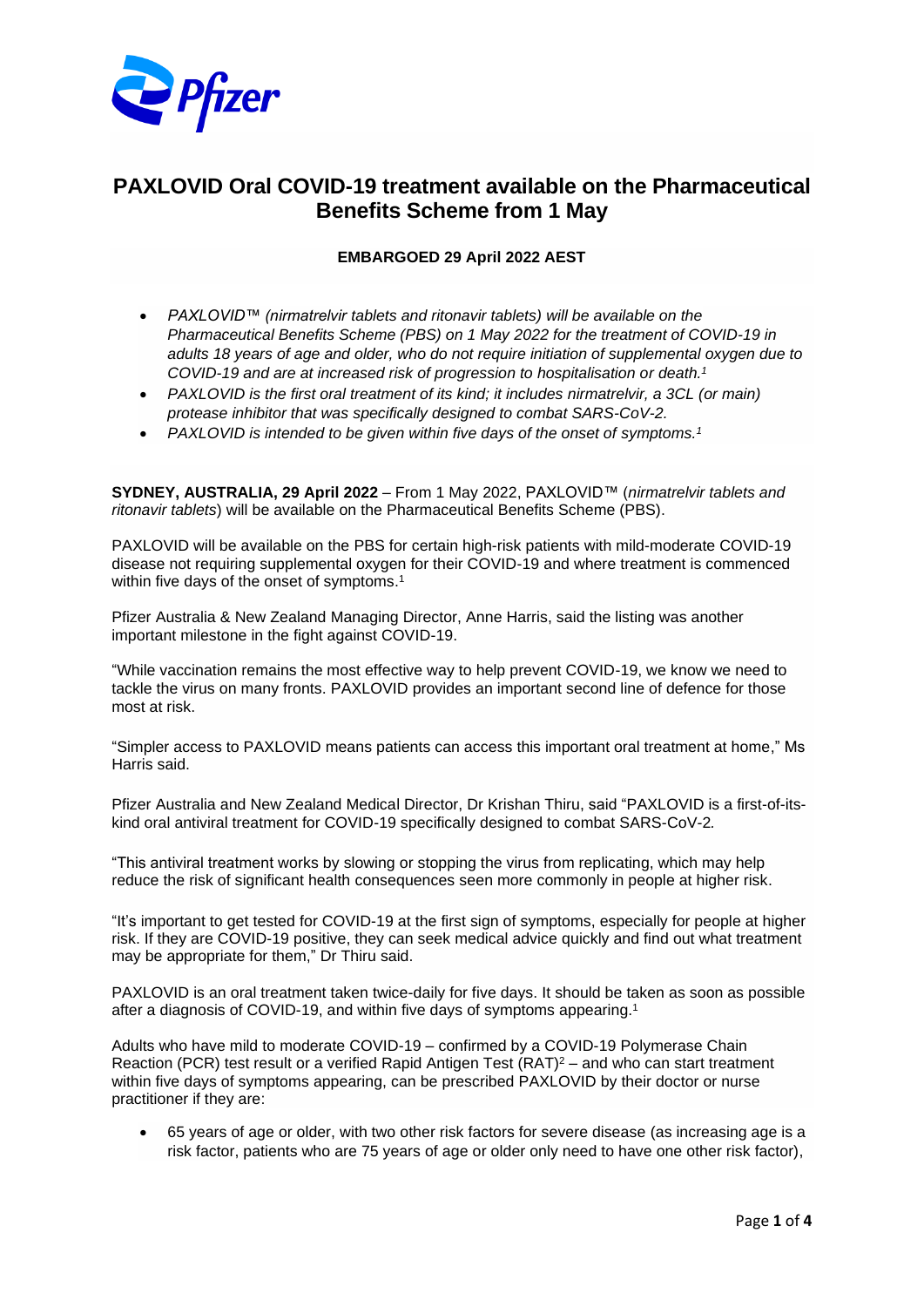

# **PAXLOVID Oral COVID-19 treatment available on the Pharmaceutical Benefits Scheme from 1 May**

# **EMBARGOED 29 April 2022 AEST**

- *PAXLOVID™ (nirmatrelvir tablets and ritonavir tablets) will be available on the Pharmaceutical Benefits Scheme (PBS) on 1 May 2022 for the treatment of COVID-19 in adults 18 years of age and older, who do not require initiation of supplemental oxygen due to COVID-19 and are at increased risk of progression to hospitalisation or death. 1*
- *PAXLOVID is the first oral treatment of its kind; it includes nirmatrelvir, a 3CL (or main) protease inhibitor that was specifically designed to combat SARS-CoV-2.*
- *PAXLOVID is intended to be given within five days of the onset of symptoms.<sup>1</sup>*

**SYDNEY, AUSTRALIA, 29 April 2022** – From 1 May 2022, PAXLOVID™ (*nirmatrelvir tablets and ritonavir tablets*) will be available on the Pharmaceutical Benefits Scheme (PBS).

PAXLOVID will be available on the PBS for certain high-risk patients with mild-moderate COVID-19 disease not requiring supplemental oxygen for their COVID-19 and where treatment is commenced within five days of the onset of symptoms.<sup>1</sup>

Pfizer Australia & New Zealand Managing Director, Anne Harris, said the listing was another important milestone in the fight against COVID-19.

"While vaccination remains the most effective way to help prevent COVID-19, we know we need to tackle the virus on many fronts. PAXLOVID provides an important second line of defence for those most at risk.

"Simpler access to PAXLOVID means patients can access this important oral treatment at home," Ms Harris said.

Pfizer Australia and New Zealand Medical Director, Dr Krishan Thiru, said "PAXLOVID is a first-of-itskind oral antiviral treatment for COVID-19 specifically designed to combat SARS-CoV-2*.*

"This antiviral treatment works by slowing or stopping the virus from replicating, which may help reduce the risk of significant health consequences seen more commonly in people at higher risk.

"It's important to get tested for COVID-19 at the first sign of symptoms, especially for people at higher risk. If they are COVID-19 positive, they can seek medical advice quickly and find out what treatment may be appropriate for them," Dr Thiru said.

PAXLOVID is an oral treatment taken twice-daily for five days. It should be taken as soon as possible after a diagnosis of COVID-19, and within five days of symptoms appearing. 1

Adults who have mild to moderate COVID-19 – confirmed by a COVID-19 Polymerase Chain Reaction (PCR) test result or a verified Rapid Antigen Test  $(RAT)^2$  – and who can start treatment within five days of symptoms appearing, can be prescribed PAXLOVID by their doctor or nurse practitioner if they are:

• 65 years of age or older, with two other risk factors for severe disease (as increasing age is a risk factor, patients who are 75 years of age or older only need to have one other risk factor),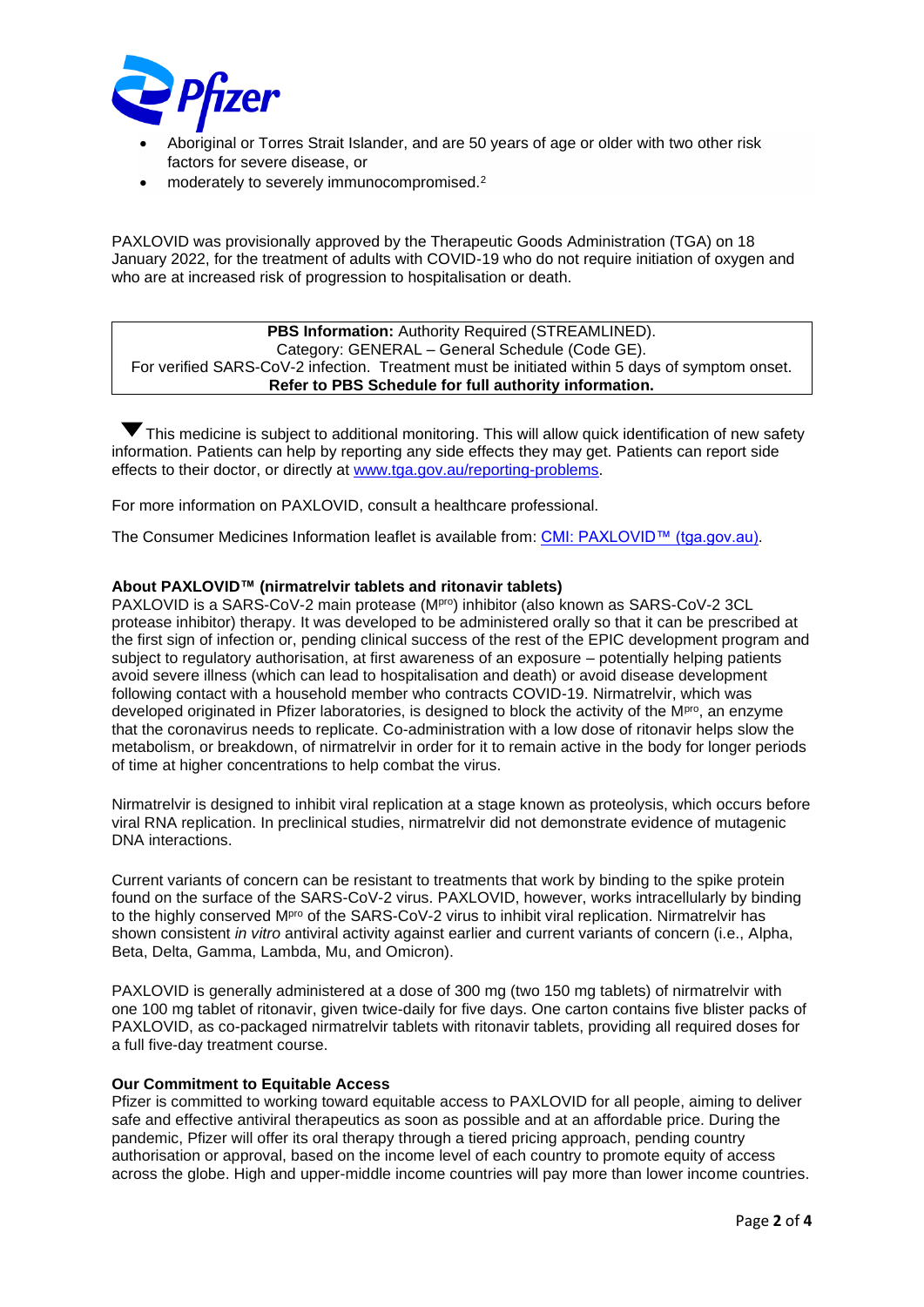

- Aboriginal or Torres Strait Islander, and are 50 years of age or older with two other risk factors for severe disease, or
- moderately to severely immunocompromised.<sup>2</sup>

PAXLOVID was provisionally approved by the Therapeutic Goods Administration (TGA) on 18 January 2022, for the treatment of adults with COVID-19 who do not require initiation of oxygen and who are at increased risk of progression to hospitalisation or death.

#### **PBS Information:** Authority Required (STREAMLINED). Category: GENERAL – General Schedule (Code GE). For verified SARS-CoV-2 infection. Treatment must be initiated within 5 days of symptom onset. **Refer to PBS Schedule for full authority information.**

This medicine is subject to additional monitoring. This will allow quick identification of new safety information. Patients can help by reporting any side effects they may get. Patients can report side effects to their doctor, or directly at [www.tga.gov.au/reporting-problems.](http://www.tga.gov.au/reporting-problems)

For more information on PAXLOVID, consult a healthcare professional.

The Consumer Medicines Information leaflet is available from: [CMI: PAXLOVID™ \(tga.gov.au\).](https://www.tga.gov.au/sites/default/files/paxlovid-cmi.pdf)

#### **About PAXLOVID™ (nirmatrelvir tablets and ritonavir tablets)**

PAXLOVID is a SARS-CoV-2 main protease (MP<sup>ro</sup>) inhibitor (also known as SARS-CoV-2 3CL protease inhibitor) therapy. It was developed to be administered orally so that it can be prescribed at the first sign of infection or, pending clinical success of the rest of the EPIC development program and subject to regulatory authorisation, at first awareness of an exposure – potentially helping patients avoid severe illness (which can lead to hospitalisation and death) or avoid disease development following contact with a household member who contracts COVID-19. Nirmatrelvir, which was developed originated in Pfizer laboratories, is designed to block the activity of the  $M<sup>pro</sup>$ , an enzyme that the coronavirus needs to replicate. Co-administration with a low dose of ritonavir helps slow the metabolism, or breakdown, of nirmatrelvir in order for it to remain active in the body for longer periods of time at higher concentrations to help combat the virus.

Nirmatrelvir is designed to inhibit viral replication at a stage known as proteolysis, which occurs before viral RNA replication. In preclinical studies, nirmatrelvir did not demonstrate evidence of mutagenic DNA interactions.

Current variants of concern can be resistant to treatments that work by binding to the spike protein found on the surface of the SARS-CoV-2 virus. PAXLOVID, however, works intracellularly by binding to the highly conserved M<sup>pro</sup> of the SARS-CoV-2 virus to inhibit viral replication. Nirmatrelvir has shown consistent *in vitro* antiviral activity against earlier and current variants of concern (i.e., Alpha, Beta, Delta, Gamma, Lambda, Mu, and Omicron).

PAXLOVID is generally administered at a dose of 300 mg (two 150 mg tablets) of nirmatrelvir with one 100 mg tablet of ritonavir, given twice-daily for five days. One carton contains five blister packs of PAXLOVID, as co-packaged nirmatrelvir tablets with ritonavir tablets, providing all required doses for a full five-day treatment course.

#### **Our Commitment to Equitable Access**

Pfizer is committed to working toward equitable access to PAXLOVID for all people, aiming to deliver safe and effective antiviral therapeutics as soon as possible and at an affordable price. During the pandemic, Pfizer will offer its oral therapy through a tiered pricing approach, pending country authorisation or approval, based on the income level of each country to promote equity of access across the globe. High and upper-middle income countries will pay more than lower income countries.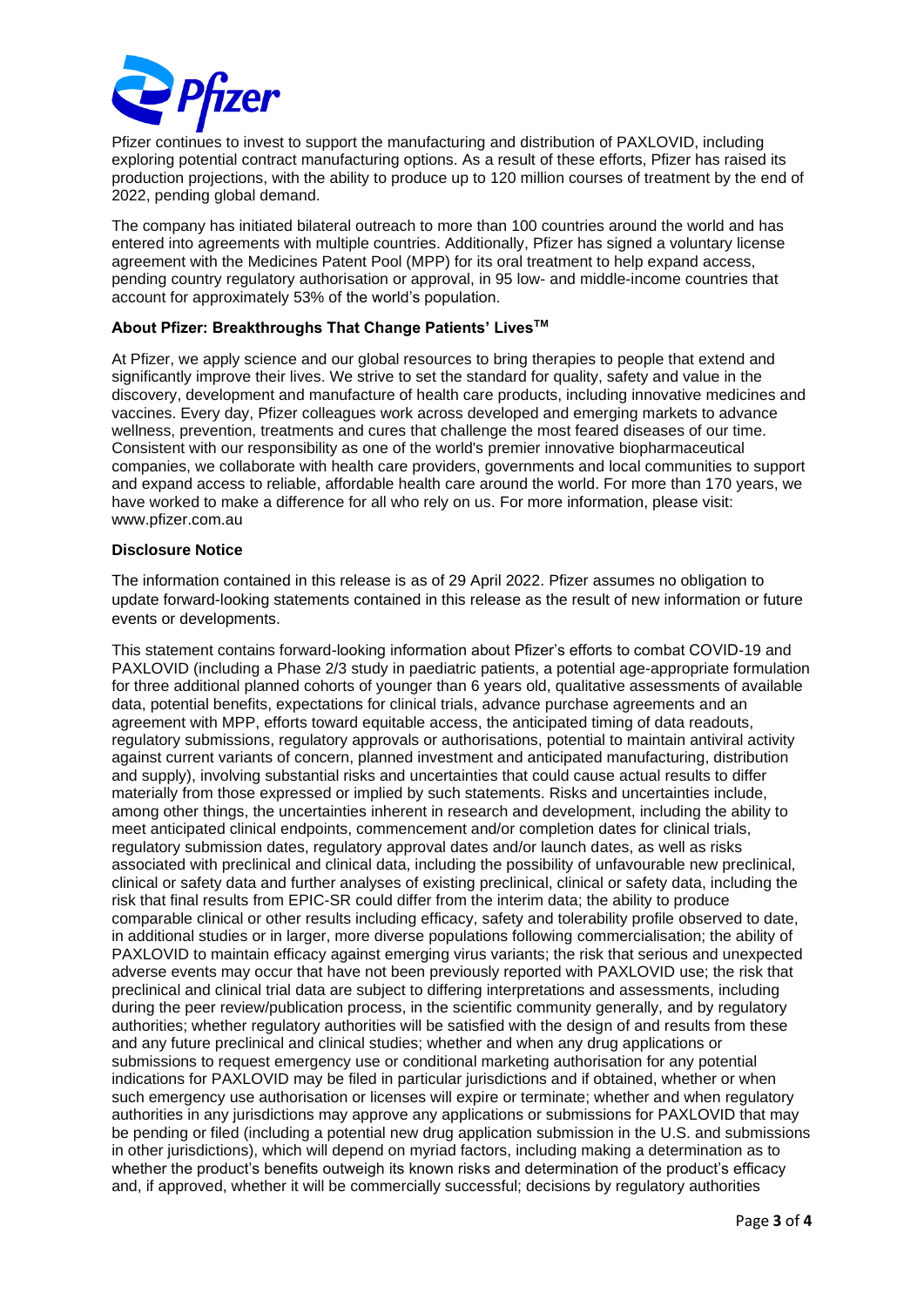

Pfizer continues to invest to support the manufacturing and distribution of PAXLOVID, including exploring potential contract manufacturing options. As a result of these efforts, Pfizer has raised its production projections, with the ability to produce up to 120 million courses of treatment by the end of 2022, pending global demand.

The company has initiated bilateral outreach to more than 100 countries around the world and has entered into agreements with multiple countries. Additionally, Pfizer has signed a voluntary license agreement with the Medicines Patent Pool (MPP) for its oral treatment to help expand access, pending country regulatory authorisation or approval, in 95 low- and middle-income countries that account for approximately 53% of the world's population.

## **About Pfizer: Breakthroughs That Change Patients' LivesTM**

At Pfizer, we apply science and our global resources to bring therapies to people that extend and significantly improve their lives. We strive to set the standard for quality, safety and value in the discovery, development and manufacture of health care products, including innovative medicines and vaccines. Every day, Pfizer colleagues work across developed and emerging markets to advance wellness, prevention, treatments and cures that challenge the most feared diseases of our time. Consistent with our responsibility as one of the world's premier innovative biopharmaceutical companies, we collaborate with health care providers, governments and local communities to support and expand access to reliable, affordable health care around the world. For more than 170 years, we have worked to make a difference for all who rely on us. For more information, please visit: www.pfizer.com.au

#### **Disclosure Notice**

The information contained in this release is as of 29 April 2022. Pfizer assumes no obligation to update forward-looking statements contained in this release as the result of new information or future events or developments.

This statement contains forward-looking information about Pfizer's efforts to combat COVID-19 and PAXLOVID (including a Phase 2/3 study in paediatric patients, a potential age-appropriate formulation for three additional planned cohorts of younger than 6 years old, qualitative assessments of available data, potential benefits, expectations for clinical trials, advance purchase agreements and an agreement with MPP, efforts toward equitable access, the anticipated timing of data readouts, regulatory submissions, regulatory approvals or authorisations, potential to maintain antiviral activity against current variants of concern, planned investment and anticipated manufacturing, distribution and supply), involving substantial risks and uncertainties that could cause actual results to differ materially from those expressed or implied by such statements. Risks and uncertainties include, among other things, the uncertainties inherent in research and development, including the ability to meet anticipated clinical endpoints, commencement and/or completion dates for clinical trials, regulatory submission dates, regulatory approval dates and/or launch dates, as well as risks associated with preclinical and clinical data, including the possibility of unfavourable new preclinical, clinical or safety data and further analyses of existing preclinical, clinical or safety data, including the risk that final results from EPIC-SR could differ from the interim data; the ability to produce comparable clinical or other results including efficacy, safety and tolerability profile observed to date, in additional studies or in larger, more diverse populations following commercialisation; the ability of PAXLOVID to maintain efficacy against emerging virus variants; the risk that serious and unexpected adverse events may occur that have not been previously reported with PAXLOVID use; the risk that preclinical and clinical trial data are subject to differing interpretations and assessments, including during the peer review/publication process, in the scientific community generally, and by regulatory authorities; whether regulatory authorities will be satisfied with the design of and results from these and any future preclinical and clinical studies; whether and when any drug applications or submissions to request emergency use or conditional marketing authorisation for any potential indications for PAXLOVID may be filed in particular jurisdictions and if obtained, whether or when such emergency use authorisation or licenses will expire or terminate; whether and when regulatory authorities in any jurisdictions may approve any applications or submissions for PAXLOVID that may be pending or filed (including a potential new drug application submission in the U.S. and submissions in other jurisdictions), which will depend on myriad factors, including making a determination as to whether the product's benefits outweigh its known risks and determination of the product's efficacy and, if approved, whether it will be commercially successful; decisions by regulatory authorities